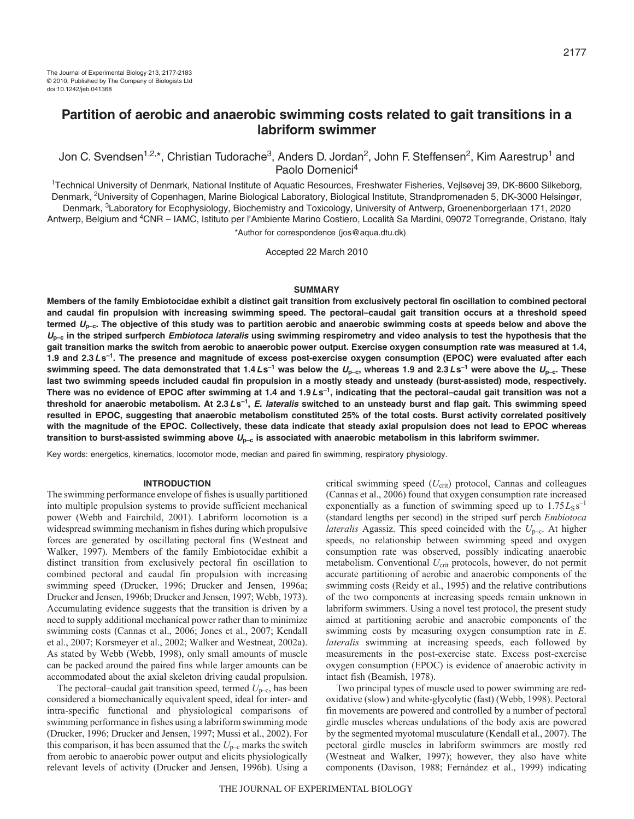# **Partition of aerobic and anaerobic swimming costs related to gait transitions in a labriform swimmer**

Jon C. Svendsen<sup>1,2,\*</sup>, Christian Tudorache<sup>3</sup>, Anders D. Jordan<sup>2</sup>, John F. Steffensen<sup>2</sup>, Kim Aarestrup<sup>1</sup> and Paolo Domenici<sup>4</sup>

1Technical University of Denmark, National Institute of Aquatic Resources, Freshwater Fisheries, Vejlsøvej 39, DK-8600 Silkeborg, Denmark, <sup>2</sup>University of Copenhagen, Marine Biological Laboratory, Biological Institute, Strandpromenaden 5, DK-3000 Helsingør, Denmark, 3Laboratory for Ecophysiology, Biochemistry and Toxicology, University of Antwerp, Groenenborgerlaan 171, 2020 Antwerp, Belgium and <sup>4</sup>CNR – IAMC, Istituto per l'Ambiente Marino Costiero, Località Sa Mardini, 09072 Torregrande, Oristano, Italy

\*Author for correspondence (jos@aqua.dtu.dk)

Accepted 22 March 2010

# **SUMMARY**

**Members of the family Embiotocidae exhibit a distinct gait transition from exclusively pectoral fin oscillation to combined pectoral and caudal fin propulsion with increasing swimming speed. The pectoral–caudal gait transition occurs at a threshold speed termed Up–c. The objective of this study was to partition aerobic and anaerobic swimming costs at speeds below and above the <sup>U</sup>p–c in the striped surfperch Embiotoca lateralis using swimming respirometry and video analysis to test the hypothesis that the gait transition marks the switch from aerobic to anaerobic power output. Exercise oxygen consumption rate was measured at 1.4, 1.9 and 2.3Ls–1. The presence and magnitude of excess post-exercise oxygen consumption (EPOC) were evaluated after each** swimming speed. The data demonstrated that 1.4 Ls<sup>-1</sup> was below the  $U_{p-c}$ , whereas 1.9 and 2.3 Ls<sup>-1</sup> were above the  $U_{p-c}$ . These **last two swimming speeds included caudal fin propulsion in a mostly steady and unsteady (burst-assisted) mode, respectively. There was no evidence of EPOC after swimming at 1.4 and 1.9Ls–1, indicating that the pectoral–caudal gait transition was not a threshold for anaerobic metabolism. At 2.3Ls–1, E. lateralis switched to an unsteady burst and flap gait. This swimming speed resulted in EPOC, suggesting that anaerobic metabolism constituted 25% of the total costs. Burst activity correlated positively with the magnitude of the EPOC. Collectively, these data indicate that steady axial propulsion does not lead to EPOC whereas transition to burst-assisted swimming above Up–c is associated with anaerobic metabolism in this labriform swimmer.**

Key words: energetics, kinematics, locomotor mode, median and paired fin swimming, respiratory physiology.

#### **INTRODUCTION**

The swimming performance envelope of fishes is usually partitioned into multiple propulsion systems to provide sufficient mechanical power (Webb and Fairchild, 2001). Labriform locomotion is a widespread swimming mechanism in fishes during which propulsive forces are generated by oscillating pectoral fins (Westneat and Walker, 1997). Members of the family Embiotocidae exhibit a distinct transition from exclusively pectoral fin oscillation to combined pectoral and caudal fin propulsion with increasing swimming speed (Drucker, 1996; Drucker and Jensen, 1996a; Drucker and Jensen, 1996b; Drucker and Jensen, 1997; Webb, 1973). Accumulating evidence suggests that the transition is driven by a need to supply additional mechanical power rather than to minimize swimming costs (Cannas et al., 2006; Jones et al., 2007; Kendall et al., 2007; Korsmeyer et al., 2002; Walker and Westneat, 2002a). As stated by Webb (Webb, 1998), only small amounts of muscle can be packed around the paired fins while larger amounts can be accommodated about the axial skeleton driving caudal propulsion.

The pectoral–caudal gait transition speed, termed  $U_{\text{p-c}}$ , has been considered a biomechanically equivalent speed, ideal for inter- and intra-specific functional and physiological comparisons of swimming performance in fishes using a labriform swimming mode (Drucker, 1996; Drucker and Jensen, 1997; Mussi et al., 2002). For this comparison, it has been assumed that the  $U_{p-c}$  marks the switch from aerobic to anaerobic power output and elicits physiologically relevant levels of activity (Drucker and Jensen, 1996b). Using a critical swimming speed (*U*<sub>crit</sub>) protocol, Cannas and colleagues (Cannas et al., 2006) found that oxygen consumption rate increased exponentially as a function of swimming speed up to  $1.75L<sub>S</sub> s<sup>-1</sup>$ (standard lengths per second) in the striped surf perch *Embiotoca lateralis* Agassiz. This speed coincided with the  $U_{p-c}$ . At higher speeds, no relationship between swimming speed and oxygen consumption rate was observed, possibly indicating anaerobic metabolism. Conventional *U*<sub>crit</sub> protocols, however, do not permit accurate partitioning of aerobic and anaerobic components of the swimming costs (Reidy et al., 1995) and the relative contributions of the two components at increasing speeds remain unknown in labriform swimmers. Using a novel test protocol, the present study aimed at partitioning aerobic and anaerobic components of the swimming costs by measuring oxygen consumption rate in *E*. *lateralis* swimming at increasing speeds, each followed by measurements in the post-exercise state. Excess post-exercise oxygen consumption (EPOC) is evidence of anaerobic activity in intact fish (Beamish, 1978).

Two principal types of muscle used to power swimming are redoxidative (slow) and white-glycolytic (fast) (Webb, 1998). Pectoral fin movements are powered and controlled by a number of pectoral girdle muscles whereas undulations of the body axis are powered by the segmented myotomal musculature (Kendall et al., 2007). The pectoral girdle muscles in labriform swimmers are mostly red (Westneat and Walker, 1997); however, they also have white components (Davison, 1988; Fernández et al., 1999) indicating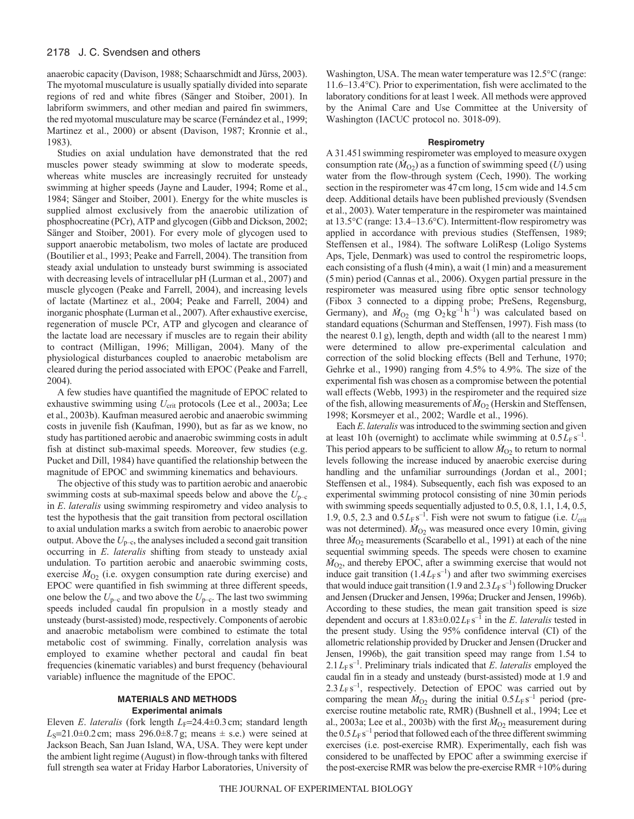anaerobic capacity (Davison, 1988; Schaarschmidt and Jürss, 2003). The myotomal musculature is usually spatially divided into separate regions of red and white fibres (Sänger and Stoiber, 2001). In labriform swimmers, and other median and paired fin swimmers, the red myotomal musculature may be scarce (Fernández et al., 1999; Martinez et al., 2000) or absent (Davison, 1987; Kronnie et al., 1983).

Studies on axial undulation have demonstrated that the red muscles power steady swimming at slow to moderate speeds, whereas white muscles are increasingly recruited for unsteady swimming at higher speeds (Jayne and Lauder, 1994; Rome et al., 1984; Sänger and Stoiber, 2001). Energy for the white muscles is supplied almost exclusively from the anaerobic utilization of phosphocreatine (PCr), ATP and glycogen (Gibb and Dickson, 2002; Sänger and Stoiber, 2001). For every mole of glycogen used to support anaerobic metabolism, two moles of lactate are produced (Boutilier et al., 1993; Peake and Farrell, 2004). The transition from steady axial undulation to unsteady burst swimming is associated with decreasing levels of intracellular pH (Lurman et al., 2007) and muscle glycogen (Peake and Farrell, 2004), and increasing levels of lactate (Martinez et al., 2004; Peake and Farrell, 2004) and inorganic phosphate (Lurman et al., 2007). After exhaustive exercise, regeneration of muscle PCr, ATP and glycogen and clearance of the lactate load are necessary if muscles are to regain their ability to contract (Milligan, 1996; Milligan, 2004). Many of the physiological disturbances coupled to anaerobic metabolism are cleared during the period associated with EPOC (Peake and Farrell, 2004).

A few studies have quantified the magnitude of EPOC related to exhaustive swimming using  $U_{\text{crit}}$  protocols (Lee et al., 2003a; Lee et al., 2003b). Kaufman measured aerobic and anaerobic swimming costs in juvenile fish (Kaufman, 1990), but as far as we know, no study has partitioned aerobic and anaerobic swimming costs in adult fish at distinct sub-maximal speeds. Moreover, few studies (e.g. Pucket and Dill, 1984) have quantified the relationship between the magnitude of EPOC and swimming kinematics and behaviours.

The objective of this study was to partition aerobic and anaerobic swimming costs at sub-maximal speeds below and above the  $U_{p-c}$ in *E*. *lateralis* using swimming respirometry and video analysis to test the hypothesis that the gait transition from pectoral oscillation to axial undulation marks a switch from aerobic to anaerobic power output. Above the  $U_{\text{p-c}}$ , the analyses included a second gait transition occurring in *E*. *lateralis* shifting from steady to unsteady axial undulation. To partition aerobic and anaerobic swimming costs, exercise  $\dot{M}_{O_2}$  (i.e. oxygen consumption rate during exercise) and EPOC were quantified in fish swimming at three different speeds, one below the  $U_{p-c}$  and two above the  $U_{p-c}$ . The last two swimming speeds included caudal fin propulsion in a mostly steady and unsteady (burst-assisted) mode, respectively. Components of aerobic and anaerobic metabolism were combined to estimate the total metabolic cost of swimming. Finally, correlation analysis was employed to examine whether pectoral and caudal fin beat frequencies (kinematic variables) and burst frequency (behavioural variable) influence the magnitude of the EPOC.

# **MATERIALS AND METHODS Experimental animals**

Eleven *E. lateralis* (fork length *L*<sub>F</sub>=24.4±0.3cm; standard length  $L<sub>S</sub>=21.0±0.2$  cm; mass 296.0±8.7g; means  $\pm$  s.e.) were seined at Jackson Beach, San Juan Island, WA, USA. They were kept under the ambient light regime (August) in flow-through tanks with filtered full strength sea water at Friday Harbor Laboratories, University of Washington, USA. The mean water temperature was 12.5°C (range: 11.6–13.4°C). Prior to experimentation, fish were acclimated to the laboratory conditions for at least 1week. All methods were approved by the Animal Care and Use Committee at the University of Washington (IACUC protocol no. 3018-09).

# **Respirometry**

A 31.45l swimming respirometer was employed to measure oxygen consumption rate  $(M<sub>O2</sub>)$  as a function of swimming speed (*U*) using water from the flow-through system (Cech, 1990). The working section in the respirometer was 47cm long, 15cm wide and 14.5cm deep. Additional details have been published previously (Svendsen et al., 2003). Water temperature in the respirometer was maintained at 13.5°C (range: 13.4–13.6°C). Intermittent-flow respirometry was applied in accordance with previous studies (Steffensen, 1989; Steffensen et al., 1984). The software LoliResp (Loligo Systems Aps, Tjele, Denmark) was used to control the respirometric loops, each consisting of a flush (4min), a wait (1min) and a measurement (5min) period (Cannas et al., 2006). Oxygen partial pressure in the respirometer was measured using fibre optic sensor technology (Fibox 3 connected to a dipping probe; PreSens, Regensburg, Germany), and  $\dot{M}_{O_2}$  (mg  $O_2$ kg<sup>-1</sup>h<sup>-1</sup>) was calculated based on standard equations (Schurman and Steffensen, 1997). Fish mass (to the nearest 0.1g), length, depth and width (all to the nearest 1mm) were determined to allow pre-experimental calculation and correction of the solid blocking effects (Bell and Terhune, 1970; Gehrke et al., 1990) ranging from 4.5% to 4.9%. The size of the experimental fish was chosen as a compromise between the potential wall effects (Webb, 1993) in the respirometer and the required size of the fish, allowing measurements of  $\dot{M}_{O2}$  (Herskin and Steffensen, 1998; Korsmeyer et al., 2002; Wardle et al., 1996).

Each *E*. *lateralis* was introduced to the swimming section and given at least 10h (overnight) to acclimate while swimming at  $0.5L_F s^{-1}$ . This period appears to be sufficient to allow  $\dot{M}_{O_2}$  to return to normal levels following the increase induced by anaerobic exercise during handling and the unfamiliar surroundings (Jordan et al., 2001; Steffensen et al., 1984). Subsequently, each fish was exposed to an experimental swimming protocol consisting of nine 30min periods with swimming speeds sequentially adjusted to 0.5, 0.8, 1.1, 1.4, 0.5, 1.9, 0.5, 2.3 and  $0.5L_F s^{-1}$ . Fish were not swum to fatigue (i.e.  $U_{\text{crit}}$ was not determined).  $\dot{M}_{O2}$  was measured once every 10 min, giving three  $\dot{M}_{O2}$  measurements (Scarabello et al., 1991) at each of the nine sequential swimming speeds. The speeds were chosen to examine  $\dot{M}_{O2}$ , and thereby EPOC, after a swimming exercise that would not induce gait transition  $(1.4L_\text{F} s^{-1})$  and after two swimming exercises that would induce gait transition  $(1.9 \text{ and } 2.3 L_{\text{F}} \text{s}^{-1})$  following Drucker and Jensen (Drucker and Jensen, 1996a; Drucker and Jensen, 1996b). According to these studies, the mean gait transition speed is size dependent and occurs at  $1.83 \pm 0.02 L_F s^{-1}$  in the *E*. *lateralis* tested in the present study. Using the 95% confidence interval (CI) of the allometric relationship provided by Drucker and Jensen (Drucker and Jensen, 1996b), the gait transition speed may range from 1.54 to  $2.1 L_F s^{-1}$ . Preliminary trials indicated that *E*. *lateralis* employed the caudal fin in a steady and unsteady (burst-assisted) mode at 1.9 and  $2.3 L_F s^{-1}$ , respectively. Detection of EPOC was carried out by comparing the mean  $\dot{M}_{O2}$  during the initial  $0.5L_{F} s^{-1}$  period (preexercise routine metabolic rate, RMR) (Bushnell et al., 1994; Lee et al., 2003a; Lee et al., 2003b) with the first  $\dot{M}_{O_2}$  measurement during the  $0.5L_\text{F} \text{s}^{-1}$  period that followed each of the three different swimming exercises (i.e. post-exercise RMR). Experimentally, each fish was considered to be unaffected by EPOC after a swimming exercise if the post-exercise RMR was below the pre-exercise RMR +10% during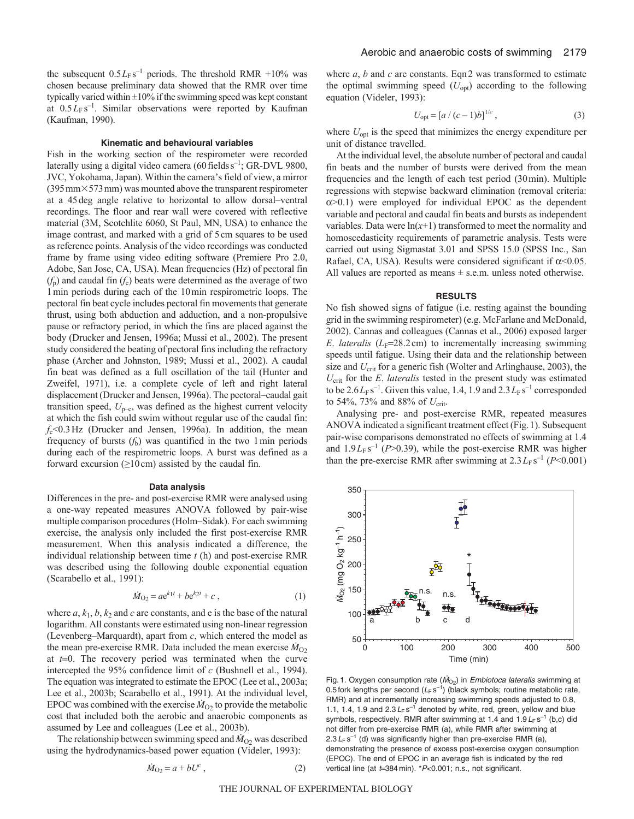the subsequent  $0.5L_F s^{-1}$  periods. The threshold RMR +10% was chosen because preliminary data showed that the RMR over time typically varied within  $\pm 10\%$  if the swimming speed was kept constant at  $0.5L_F s^{-1}$ . Similar observations were reported by Kaufman (Kaufman, 1990).

#### **Kinematic and behavioural variables**

Fish in the working section of the respirometer were recorded laterally using a digital video camera (60 fields s<sup>-1</sup>; GR-DVL 9800, JVC, Yokohama, Japan). Within the camera's field of view, a mirror  $(395\,\text{mm}\times573\,\text{mm})$  was mounted above the transparent respirometer at a 45deg angle relative to horizontal to allow dorsal–ventral recordings. The floor and rear wall were covered with reflective material (3M, Scotchlite 6060, St Paul, MN, USA) to enhance the image contrast, and marked with a grid of 5cm squares to be used as reference points. Analysis of the video recordings was conducted frame by frame using video editing software (Premiere Pro 2.0, Adobe, San Jose, CA, USA). Mean frequencies (Hz) of pectoral fin  $(f<sub>p</sub>)$  and caudal fin  $(f<sub>c</sub>)$  beats were determined as the average of two 1min periods during each of the 10min respirometric loops. The pectoral fin beat cycle includes pectoral fin movements that generate thrust, using both abduction and adduction, and a non-propulsive pause or refractory period, in which the fins are placed against the body (Drucker and Jensen, 1996a; Mussi et al., 2002). The present study considered the beating of pectoral fins including the refractory phase (Archer and Johnston, 1989; Mussi et al., 2002). A caudal fin beat was defined as a full oscillation of the tail (Hunter and Zweifel, 1971), i.e. a complete cycle of left and right lateral displacement (Drucker and Jensen, 1996a). The pectoral–caudal gait transition speed,  $U_{\text{p-c}}$ , was defined as the highest current velocity at which the fish could swim without regular use of the caudal fin: *f*c<0.3Hz (Drucker and Jensen, 1996a). In addition, the mean frequency of bursts  $(f_b)$  was quantified in the two 1 min periods during each of the respirometric loops. A burst was defined as a forward excursion  $(≥10 \text{ cm})$  assisted by the caudal fin.

#### **Data analysis**

Differences in the pre- and post-exercise RMR were analysed using a one-way repeated measures ANOVA followed by pair-wise multiple comparison procedures (Holm–Sidak). For each swimming exercise, the analysis only included the first post-exercise RMR measurement. When this analysis indicated a difference, the individual relationship between time *t* (h) and post-exercise RMR was described using the following double exponential equation (Scarabello et al., 1991):

$$
\dot{M}_{O_2} = a e^{k_1 t} + b e^{k_2 t} + c \tag{1}
$$

where  $a, k_1, b, k_2$  and  $c$  are constants, and  $e$  is the base of the natural logarithm. All constants were estimated using non-linear regression (Levenberg–Marquardt), apart from *c*, which entered the model as the mean pre-exercise RMR. Data included the mean exercise  $\dot{M}_{O2}$ at *t*=0. The recovery period was terminated when the curve intercepted the 95% confidence limit of *c* (Bushnell et al., 1994). The equation was integrated to estimate the EPOC (Lee et al., 2003a; Lee et al., 2003b; Scarabello et al., 1991). At the individual level, EPOC was combined with the exercise  $\dot{M}_{O2}$  to provide the metabolic cost that included both the aerobic and anaerobic components as assumed by Lee and colleagues (Lee et al., 2003b).

The relationship between swimming speed and  $\dot{M}_{O2}$  was described using the hydrodynamics-based power equation (Videler, 1993):

$$
\dot{M}_{O_2} = a + bU^c \,,\tag{2}
$$

where *a*, *b* and *c* are constants. Eqn 2 was transformed to estimate the optimal swimming speed  $(U_{opt})$  according to the following equation (Videler, 1993):

$$
U_{\text{opt}} = [a / (c - 1)b]^{1/c}, \tag{3}
$$

where  $U_{\text{opt}}$  is the speed that minimizes the energy expenditure per unit of distance travelled.

At the individual level, the absolute number of pectoral and caudal fin beats and the number of bursts were derived from the mean frequencies and the length of each test period (30min). Multiple regressions with stepwise backward elimination (removal criteria:  $\alpha$  > 0.1) were employed for individual EPOC as the dependent variable and pectoral and caudal fin beats and bursts as independent variables. Data were  $ln(x+1)$  transformed to meet the normality and homoscedasticity requirements of parametric analysis. Tests were carried out using Sigmastat 3.01 and SPSS 15.0 (SPSS Inc., San Rafael, CA, USA). Results were considered significant if  $\alpha$ <0.05. All values are reported as means  $\pm$  s.e.m. unless noted otherwise.

# **RESULTS**

No fish showed signs of fatigue (i.e. resting against the bounding grid in the swimming respirometer) (e.g. McFarlane and McDonald, 2002). Cannas and colleagues (Cannas et al., 2006) exposed larger *E. lateralis* ( $L_F$ =28.2cm) to incrementally increasing swimming speeds until fatigue. Using their data and the relationship between size and *U*<sub>crit</sub> for a generic fish (Wolter and Arlinghause, 2003), the *U*crit for the *E*. *lateralis* tested in the present study was estimated to be  $2.6L_\text{F} s^{-1}$ . Given this value, 1.4, 1.9 and  $2.3L_\text{F} s^{-1}$  corresponded to 54%, 73% and 88% of *U*crit.

Analysing pre- and post-exercise RMR, repeated measures ANOVA indicated a significant treatment effect (Fig.1). Subsequent pair-wise comparisons demonstrated no effects of swimming at 1.4 and  $1.9L_F s^{-1}$  ( $P > 0.39$ ), while the post-exercise RMR was higher than the pre-exercise RMR after swimming at  $2.3 L_F s^{-1}$  ( $P < 0.001$ )



Fig. 1. Oxygen consumption rate ( $\dot{M}_{\text{O}_2}$ ) in *Embiotoca lateralis* swimming at 0.5 fork lengths per second  $(L_F s^{-1})$  (black symbols; routine metabolic rate, RMR) and at incrementally increasing swimming speeds adjusted to 0.8, 1.1, 1.4, 1.9 and  $2.3 L_F s^{-1}$  denoted by white, red, green, yellow and blue symbols, respectively. RMR after swimming at 1.4 and  $1.9 L_F s^{-1}$  (b,c) did not differ from pre-exercise RMR (a), while RMR after swimming at 2.3  $L_F$  s<sup>-1</sup> (d) was significantly higher than pre-exercise RMR (a), demonstrating the presence of excess post-exercise oxygen consumption (EPOC). The end of EPOC in an average fish is indicated by the red vertical line (at  $t=384$  min).  $*P<0.001$ ; n.s., not significant.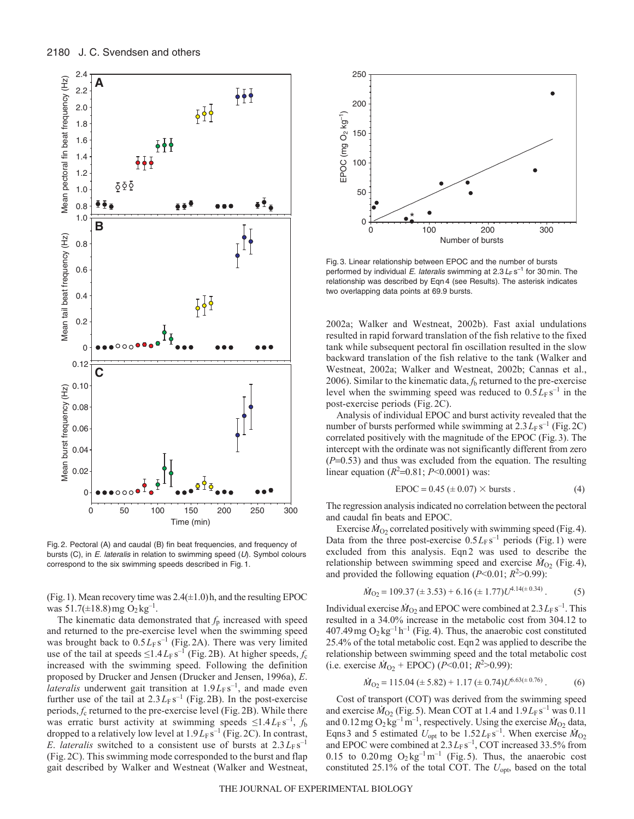

Fig. 2. Pectoral (A) and caudal (B) fin beat frequencies, and frequency of bursts (C), in  $E$ . lateralis in relation to swimming speed ( $U$ ). Symbol colours correspond to the six swimming speeds described in Fig. 1.

(Fig. 1). Mean recovery time was  $2.4(\pm 1.0)$ h, and the resulting EPOC was  $51.7(\pm 18.8)$  mg  $O_2$  kg<sup>-1</sup>.

The kinematic data demonstrated that  $f_p$  increased with speed and returned to the pre-exercise level when the swimming speed was brought back to  $0.5L_F s^{-1}$  (Fig. 2A). There was very limited use of the tail at speeds  $\leq$ 1.4 $L$ <sub>F</sub> s<sup>-1</sup> (Fig. 2B). At higher speeds,  $f_c$ increased with the swimming speed. Following the definition proposed by Drucker and Jensen (Drucker and Jensen, 1996a), *E*. *lateralis* underwent gait transition at  $1.9L<sub>F</sub> s<sup>-1</sup>$ , and made even further use of the tail at  $2.3 L_F s^{-1}$  (Fig. 2B). In the post-exercise periods, *f*<sup>c</sup> returned to the pre-exercise level (Fig. 2B). While there was erratic burst activity at swimming speeds  $\leq 1.4 L_F s^{-1}$ ,  $f_b$ dropped to a relatively low level at  $1.9L<sub>F</sub> s<sup>-1</sup>$  (Fig. 2C). In contrast, *E. lateralis* switched to a consistent use of bursts at  $2.3 L_F s^{-1}$ (Fig. 2C). This swimming mode corresponded to the burst and flap gait described by Walker and Westneat (Walker and Westneat,



Fig. 3. Linear relationship between EPOC and the number of bursts performed by individual E. lateralis swimming at  $2.3 L_F s^{-1}$  for 30 min. The relationship was described by Eqn 4 (see Results). The asterisk indicates two overlapping data points at 69.9 bursts.

2002a; Walker and Westneat, 2002b). Fast axial undulations resulted in rapid forward translation of the fish relative to the fixed tank while subsequent pectoral fin oscillation resulted in the slow backward translation of the fish relative to the tank (Walker and Westneat, 2002a; Walker and Westneat, 2002b; Cannas et al., 2006). Similar to the kinematic data, *f*<sup>b</sup> returned to the pre-exercise level when the swimming speed was reduced to  $0.5L_F s^{-1}$  in the post-exercise periods (Fig. 2C).

Analysis of individual EPOC and burst activity revealed that the number of bursts performed while swimming at  $2.3 L_F s^{-1}$  (Fig. 2C) correlated positively with the magnitude of the EPOC (Fig.3). The intercept with the ordinate was not significantly different from zero  $(P=0.53)$  and thus was excluded from the equation. The resulting linear equation  $(R^2=0.81; P<0.0001)$  was:

$$
EPOC = 0.45 \, (\pm \, 0.07) \times \text{bursts} \,. \tag{4}
$$

The regression analysis indicated no correlation between the pectoral and caudal fin beats and EPOC.

Exercise  $\dot{M}_{O2}$  correlated positively with swimming speed (Fig. 4). Data from the three post-exercise  $0.5L_F s^{-1}$  periods (Fig.1) were excluded from this analysis. Eqn 2 was used to describe the relationship between swimming speed and exercise  $\dot{M}_{O2}$  (Fig. 4), and provided the following equation  $(P<0.01; R<sup>2</sup>>0.99)$ :

$$
\dot{M}_{O2} = 109.37 \ (\pm 3.53) + 6.16 \ (\pm 1.77) U^{4.14(\pm 0.34)} \,. \tag{5}
$$

Individual exercise  $\dot{M}_{O_2}$  and EPOC were combined at  $2.3 L_F s^{-1}$ . This resulted in a 34.0% increase in the metabolic cost from 304.12 to 407.49 mg  $O_2$  kg<sup>-1</sup> h<sup>-1</sup> (Fig. 4). Thus, the anaerobic cost constituted 25.4% of the total metabolic cost. Eqn2 was applied to describe the relationship between swimming speed and the total metabolic cost  $(i.e. exercise M_{O2} + EPOC) (P<0.01; R<sup>2</sup>>0.99)$ :

$$
\dot{M}_{O2} = 115.04 \ (\pm 5.82) + 1.17 \ (\pm 0.74) U^{6.63(\pm 0.76)} \ . \tag{6}
$$

Cost of transport (COT) was derived from the swimming speed and exercise  $\dot{M}_{O_2}$  (Fig. 5). Mean COT at 1.4 and  $1.9L_F s^{-1}$  was 0.11 and  $0.12 \text{ mg } O_2 \text{ kg}^{-1} \text{ m}^{-1}$ , respectively. Using the exercise  $\dot{M}_{O_2}$  data, Eqns 3 and 5 estimated  $U_{\text{opt}}$  to be  $1.52L_F s^{-1}$ . When exercise  $\dot{M}_{O2}$ and EPOC were combined at  $2.3 L_F s^{-1}$ , COT increased 33.5% from 0.15 to 0.20 mg  $O_2$  kg<sup>-1</sup> m<sup>-1</sup> (Fig. 5). Thus, the anaerobic cost constituted 25.1% of the total COT. The  $U_{\text{opt}}$ , based on the total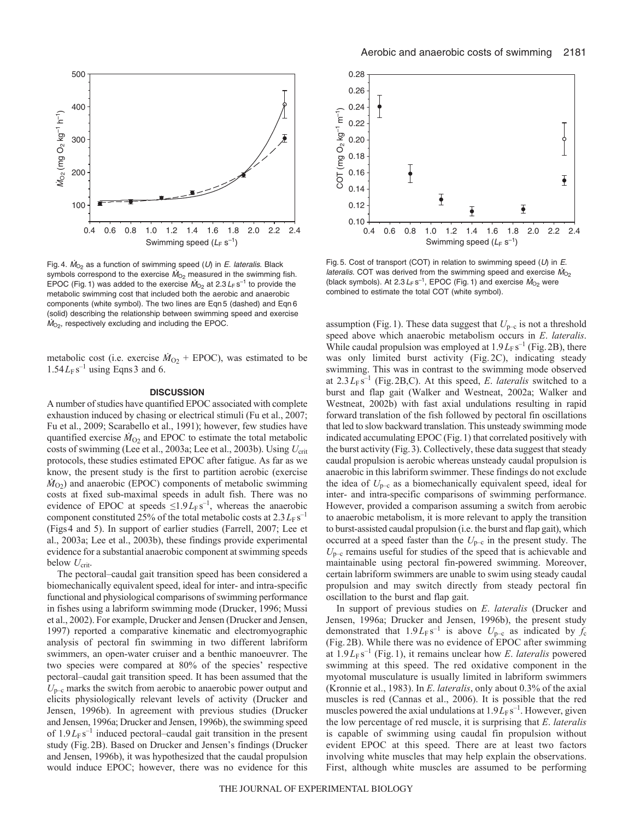

Fig. 4.  $\dot{M}_{\odot}$  as a function of swimming speed (U) in E. lateralis. Black symbols correspond to the exercise  $\dot{M}_{O_2}$  measured in the swimming fish. EPOC (Fig. 1) was added to the exercise  $\dot{M}_{\text{O}_2}$  at 2.3  $L_F$  s<sup>-1</sup> to provide the metabolic swimming cost that included both the aerobic and anaerobic components (white symbol). The two lines are Eqn 5 (dashed) and Eqn 6 (solid) describing the relationship between swimming speed and exercise  $\dot{M}_{O<sub>2</sub>}$ , respectively excluding and including the EPOC.

metabolic cost (i.e. exercise  $\dot{M}_{O2}$  + EPOC), was estimated to be  $1.54L<sub>F</sub> s<sup>-1</sup>$  using Eqns 3 and 6.

# **DISCUSSION**

A number of studies have quantified EPOC associated with complete exhaustion induced by chasing or electrical stimuli (Fu et al., 2007; Fu et al., 2009; Scarabello et al., 1991); however, few studies have quantified exercise  $\dot{M}_{O2}$  and EPOC to estimate the total metabolic costs of swimming (Lee et al., 2003a; Lee et al., 2003b). Using  $U_{\text{crit}}$ protocols, these studies estimated EPOC after fatigue. As far as we know, the present study is the first to partition aerobic (exercise  $\dot{M}_{\text{O2}}$ ) and anaerobic (EPOC) components of metabolic swimming costs at fixed sub-maximal speeds in adult fish. There was no evidence of EPOC at speeds  $\leq 1.9L_F s^{-1}$ , whereas the anaerobic component constituted  $25\%$  of the total metabolic costs at  $2.3 L_F s^{-1}$ (Figs4 and 5). In support of earlier studies (Farrell, 2007; Lee et al., 2003a; Lee et al., 2003b), these findings provide experimental evidence for a substantial anaerobic component at swimming speeds below  $U_{\text{crit}}$ .

The pectoral–caudal gait transition speed has been considered a biomechanically equivalent speed, ideal for inter- and intra-specific functional and physiological comparisons of swimming performance in fishes using a labriform swimming mode (Drucker, 1996; Mussi et al., 2002). For example, Drucker and Jensen (Drucker and Jensen, 1997) reported a comparative kinematic and electromyographic analysis of pectoral fin swimming in two different labriform swimmers, an open-water cruiser and a benthic manoeuvrer. The two species were compared at 80% of the species' respective pectoral–caudal gait transition speed. It has been assumed that the  $U_{\text{p-c}}$  marks the switch from aerobic to anaerobic power output and elicits physiologically relevant levels of activity (Drucker and Jensen, 1996b). In agreement with previous studies (Drucker and Jensen, 1996a; Drucker and Jensen, 1996b), the swimming speed of  $1.9L_\text{F} \text{s}^{-1}$  induced pectoral–caudal gait transition in the present study (Fig.2B). Based on Drucker and Jensen's findings (Drucker and Jensen, 1996b), it was hypothesized that the caudal propulsion would induce EPOC; however, there was no evidence for this



Fig. 5. Cost of transport (COT) in relation to swimming speed  $(U)$  in E. *lateralis.* COT was derived from the swimming speed and exercise  $\dot{M}_{O_2}$ (black symbols). At 2.3  $L_F$  s<sup>-1</sup>, EPOC (Fig. 1) and exercise  $\dot{M}_{O_2}$  were combined to estimate the total COT (white symbol).

assumption (Fig. 1). These data suggest that  $U_{p-c}$  is not a threshold speed above which anaerobic metabolism occurs in *E*. *lateralis*. While caudal propulsion was employed at  $1.9L<sub>F</sub> s<sup>-1</sup>$  (Fig. 2B), there was only limited burst activity (Fig. 2C), indicating steady swimming. This was in contrast to the swimming mode observed at  $2.3 L_F s^{-1}$  (Fig. 2B, C). At this speed, *E. lateralis* switched to a burst and flap gait (Walker and Westneat, 2002a; Walker and Westneat, 2002b) with fast axial undulations resulting in rapid forward translation of the fish followed by pectoral fin oscillations that led to slow backward translation. This unsteady swimming mode indicated accumulating EPOC (Fig.1) that correlated positively with the burst activity (Fig.3). Collectively, these data suggest that steady caudal propulsion is aerobic whereas unsteady caudal propulsion is anaerobic in this labriform swimmer. These findings do not exclude the idea of  $U_{p-c}$  as a biomechanically equivalent speed, ideal for inter- and intra-specific comparisons of swimming performance. However, provided a comparison assuming a switch from aerobic to anaerobic metabolism, it is more relevant to apply the transition to burst-assisted caudal propulsion (i.e. the burst and flap gait), which occurred at a speed faster than the  $U_{p-c}$  in the present study. The  $U_{\text{p-c}}$  remains useful for studies of the speed that is achievable and maintainable using pectoral fin-powered swimming. Moreover, certain labriform swimmers are unable to swim using steady caudal propulsion and may switch directly from steady pectoral fin oscillation to the burst and flap gait.

In support of previous studies on *E*. *lateralis* (Drucker and Jensen, 1996a; Drucker and Jensen, 1996b), the present study demonstrated that  $1.9L_F s^{-1}$  is above  $U_{p-c}$  as indicated by  $f_c$ (Fig. 2B). While there was no evidence of EPOC after swimming at  $1.9L_F s^{-1}$  (Fig. 1), it remains unclear how *E. lateralis* powered swimming at this speed. The red oxidative component in the myotomal musculature is usually limited in labriform swimmers (Kronnie et al., 1983). In *E*. *lateralis*, only about 0.3% of the axial muscles is red (Cannas et al., 2006). It is possible that the red muscles powered the axial undulations at  $1.9L$ <sub>F</sub> s<sup>-1</sup>. However, given the low percentage of red muscle, it is surprising that *E*. *lateralis* is capable of swimming using caudal fin propulsion without evident EPOC at this speed. There are at least two factors involving white muscles that may help explain the observations. First, although white muscles are assumed to be performing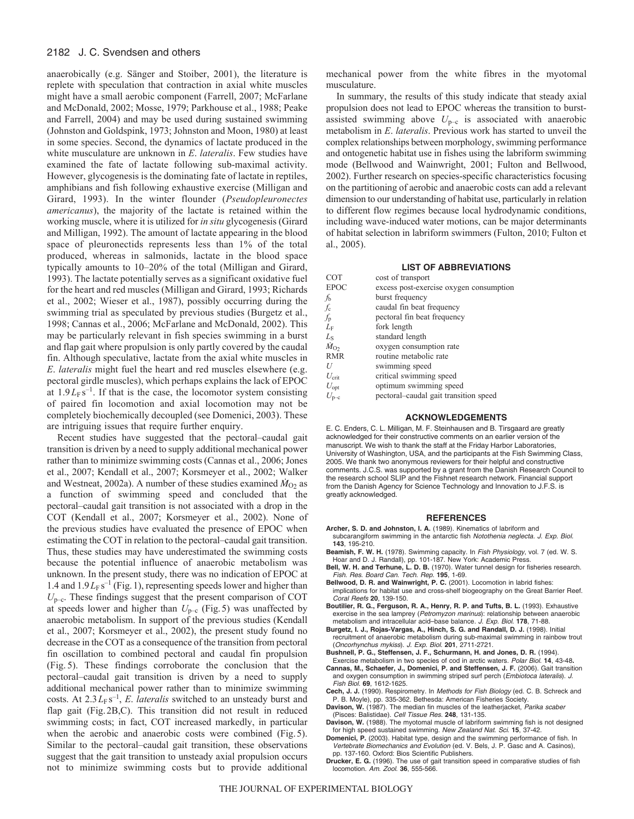# 2182 J. C. Svendsen and others

anaerobically (e.g. Sänger and Stoiber, 2001), the literature is replete with speculation that contraction in axial white muscles might have a small aerobic component (Farrell, 2007; McFarlane and McDonald, 2002; Mosse, 1979; Parkhouse et al., 1988; Peake and Farrell, 2004) and may be used during sustained swimming (Johnston and Goldspink, 1973; Johnston and Moon, 1980) at least in some species. Second, the dynamics of lactate produced in the white musculature are unknown in *E*. *lateralis*. Few studies have examined the fate of lactate following sub-maximal activity. However, glycogenesis is the dominating fate of lactate in reptiles, amphibians and fish following exhaustive exercise (Milligan and Girard, 1993). In the winter flounder (*Pseudopleuronectes americanus*), the majority of the lactate is retained within the working muscle, where it is utilized for *in situ* glycogenesis (Girard and Milligan, 1992). The amount of lactate appearing in the blood space of pleuronectids represents less than 1% of the total produced, whereas in salmonids, lactate in the blood space typically amounts to 10–20% of the total (Milligan and Girard, 1993). The lactate potentially serves as a significant oxidative fuel for the heart and red muscles (Milligan and Girard, 1993; Richards et al., 2002; Wieser et al., 1987), possibly occurring during the swimming trial as speculated by previous studies (Burgetz et al., 1998; Cannas et al., 2006; McFarlane and McDonald, 2002). This may be particularly relevant in fish species swimming in a burst and flap gait where propulsion is only partly covered by the caudal fin. Although speculative, lactate from the axial white muscles in *E*. *lateralis* might fuel the heart and red muscles elsewhere (e.g. pectoral girdle muscles), which perhaps explains the lack of EPOC at  $1.9L<sub>F</sub> s<sup>-1</sup>$ . If that is the case, the locomotor system consisting of paired fin locomotion and axial locomotion may not be completely biochemically decoupled (see Domenici, 2003). These are intriguing issues that require further enquiry.

Recent studies have suggested that the pectoral–caudal gait transition is driven by a need to supply additional mechanical power rather than to minimize swimming costs (Cannas et al., 2006; Jones et al., 2007; Kendall et al., 2007; Korsmeyer et al., 2002; Walker and Westneat, 2002a). A number of these studies examined  $\dot{M}_{O_2}$  as a function of swimming speed and concluded that the pectoral–caudal gait transition is not associated with a drop in the COT (Kendall et al., 2007; Korsmeyer et al., 2002). None of the previous studies have evaluated the presence of EPOC when estimating the COT in relation to the pectoral–caudal gait transition. Thus, these studies may have underestimated the swimming costs because the potential influence of anaerobic metabolism was unknown. In the present study, there was no indication of EPOC at 1.4 and  $1.9L<sub>F</sub> s<sup>-1</sup>$  (Fig. 1), representing speeds lower and higher than  $U_{\text{p-c}}$ . These findings suggest that the present comparison of COT at speeds lower and higher than  $U_{p-c}$  (Fig. 5) was unaffected by anaerobic metabolism. In support of the previous studies (Kendall et al., 2007; Korsmeyer et al., 2002), the present study found no decrease in the COT as a consequence of the transition from pectoral fin oscillation to combined pectoral and caudal fin propulsion (Fig. 5). These findings corroborate the conclusion that the pectoral–caudal gait transition is driven by a need to supply additional mechanical power rather than to minimize swimming costs. At  $2.3 L_F s^{-1}$ , *E. lateralis* switched to an unsteady burst and flap gait (Fig.2B,C). This transition did not result in reduced swimming costs; in fact, COT increased markedly, in particular when the aerobic and anaerobic costs were combined (Fig. 5). Similar to the pectoral–caudal gait transition, these observations suggest that the gait transition to unsteady axial propulsion occurs not to minimize swimming costs but to provide additional mechanical power from the white fibres in the myotomal musculature.

In summary, the results of this study indicate that steady axial propulsion does not lead to EPOC whereas the transition to burstassisted swimming above  $U_{p-c}$  is associated with anaerobic metabolism in *E*. *lateralis*. Previous work has started to unveil the complex relationships between morphology, swimming performance and ontogenetic habitat use in fishes using the labriform swimming mode (Bellwood and Wainwright, 2001; Fulton and Bellwood, 2002). Further research on species-specific characteristics focusing on the partitioning of aerobic and anaerobic costs can add a relevant dimension to our understanding of habitat use, particularly in relation to different flow regimes because local hydrodynamic conditions, including wave-induced water motions, can be major determinants of habitat selection in labriform swimmers (Fulton, 2010; Fulton et al., 2005).

#### **LIST OF ABBREVIATIONS**

| cost of transport                       |
|-----------------------------------------|
| excess post-exercise oxygen consumption |
| burst frequency                         |
| caudal fin beat frequency               |
| pectoral fin beat frequency             |
| fork length                             |
| standard length                         |
| oxygen consumption rate                 |
| routine metabolic rate                  |
| swimming speed                          |
| critical swimming speed                 |
| optimum swimming speed                  |
| pectoral-caudal gait transition speed   |
|                                         |

#### **ACKNOWLEDGEMENTS**

E. C. Enders, C. L. Milligan, M. F. Steinhausen and B. Tirsgaard are greatly acknowledged for their constructive comments on an earlier version of the manuscript. We wish to thank the staff at the Friday Harbor Laboratories, University of Washington, USA, and the participants at the Fish Swimming Class, 2005. We thank two anonymous reviewers for their helpful and constructive comments. J.C.S. was supported by a grant from the Danish Research Council to the research school SLIP and the Fishnet research network. Financial support from the Danish Agency for Science Technology and Innovation to J.F.S. is greatly acknowledged.

#### **REFERENCES**

- **Archer, S. D. and Johnston, I. A.** (1989). Kinematics of labriform and subcarangiform swimming in the antarctic fish Notothenia neglecta. J. Exp. Biol. **143**, 195-210.
- **Beamish, F. W. H.** (1978). Swimming capacity. In Fish Physiology, vol. 7 (ed. W. S. Hoar and D. J. Randall), pp. 101-187. New York: Academic Press.
- **Bell, W. H. and Terhune, L. D. B.** (1970). Water tunnel design for fisheries research. Fish. Res. Board Can. Tech. Rep. **195**, 1-69.
- **Bellwood, D. R. and Wainwright, P. C.** (2001). Locomotion in labrid fishes: implications for habitat use and cross-shelf biogeography on the Great Barrier Reef. Coral Reefs **20**, 139-150.
- **Boutilier, R. G., Ferguson, R. A., Henry, R. P. and Tufts, B. L.** (1993). Exhaustive exercise in the sea lamprey (Petromyzon marinus): relationship between anaerobic metabolism and intracellular acid–base balance. J. Exp. Biol. **178**, 71-88.
- **Burgetz, I. J., Rojas-Vargas, A., Hinch, S. G. and Randall, D. J.** (1998). Initial recruitment of anaerobic metabolism during sub-maximal swimming in rainbow trout (Oncorhynchus mykiss). J. Exp. Biol. **201**, 2711-2721.
- **Bushnell, P. G., Steffensen, J. F., Schurmann, H. and Jones, D. R.** (1994). Exercise metabolism in two species of cod in arctic waters. Polar Biol. **14**, 43-48**.**
- **Cannas, M., Schaefer, J., Domenici, P. and Steffensen, J. F.** (2006). Gait transition and oxygen consumption in swimming striped surf perch (Embiotoca lateralis). J. Fish Biol. **69**, 1612-1625.
- **Cech, J. J.** (1990). Respirometry. In Methods for Fish Biology (ed. C. B. Schreck and P. B. Moyle), pp. 335-362. Bethesda: American Fisheries Society.
- Davison, W. (1987). The median fin muscles of the leatherjacket, Parika scaber (Pisces: Balistidae). Cell Tissue Res. **248**, 131-135.
- **Davison, W.** (1988). The myotomal muscle of labriform swimming fish is not designed for high speed sustained swimming. New Zealand Nat. Sci. **15**, 37-42.
- **Domenici, P.** (2003). Habitat type, design and the swimming performance of fish. In Vertebrate Biomechanics and Evolution (ed. V. Bels, J. P. Gasc and A. Casinos), pp. 137-160. Oxford: Bios Scientific Publishers.
- **Drucker, E. G.** (1996). The use of gait transition speed in comparative studies of fish locomotion. Am. Zool. **36**, 555-566.